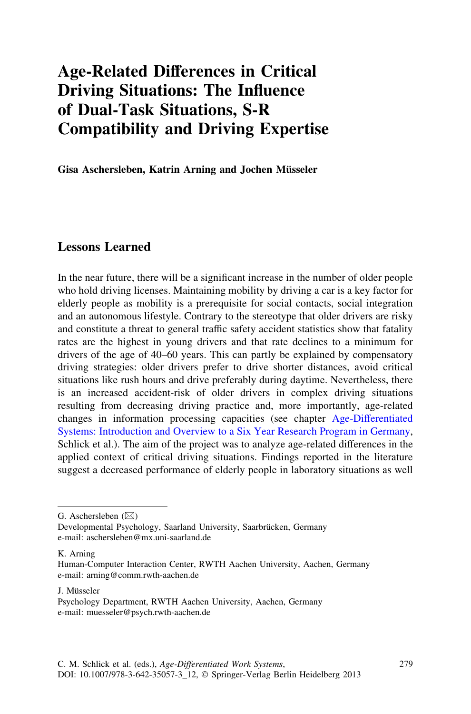# Age-Related Differences in Critical Driving Situations: The Influence of Dual-Task Situations, S-R Compatibility and Driving Expertise

Gisa Aschersleben, Katrin Arning and Jochen Müsseler

# Lessons Learned

In the near future, there will be a significant increase in the number of older people who hold driving licenses. Maintaining mobility by driving a car is a key factor for elderly people as mobility is a prerequisite for social contacts, social integration and an autonomous lifestyle. Contrary to the stereotype that older drivers are risky and constitute a threat to general traffic safety accident statistics show that fatality rates are the highest in young drivers and that rate declines to a minimum for drivers of the age of 40–60 years. This can partly be explained by compensatory driving strategies: older drivers prefer to drive shorter distances, avoid critical situations like rush hours and drive preferably during daytime. Nevertheless, there is an increased accident-risk of older drivers in complex driving situations resulting from decreasing driving practice and, more importantly, age-related changes in information processing capacities (see chapter [Age-Differentiated](http://dx.doi.org/10.1007/978-3-642-35057-3_1) [Systems: Introduction and Overview to a Six Year Research Program in Germany](http://dx.doi.org/10.1007/978-3-642-35057-3_1), Schlick et al.). The aim of the project was to analyze age-related differences in the applied context of critical driving situations. Findings reported in the literature suggest a decreased performance of elderly people in laboratory situations as well

G. Aschersleben  $(\boxtimes)$ 

J. Müsseler

Developmental Psychology, Saarland University, Saarbrücken, Germany e-mail: aschersleben@mx.uni-saarland.de

K. Arning

Human-Computer Interaction Center, RWTH Aachen University, Aachen, Germany e-mail: arning@comm.rwth-aachen.de

Psychology Department, RWTH Aachen University, Aachen, Germany e-mail: muesseler@psych.rwth-aachen.de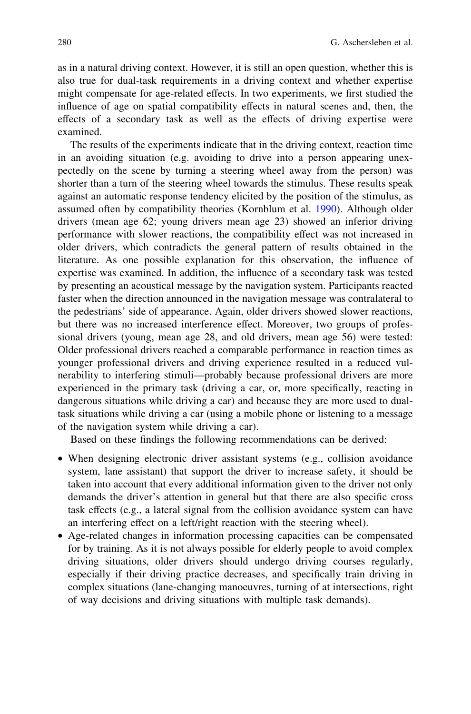as in a natural driving context. However, it is still an open question, whether this is also true for dual-task requirements in a driving context and whether expertise might compensate for age-related effects. In two experiments, we first studied the influence of age on spatial compatibility effects in natural scenes and, then, the effects of a secondary task as well as the effects of driving expertise were examined.

The results of the experiments indicate that in the driving context, reaction time in an avoiding situation (e.g. avoiding to drive into a person appearing unexpectedly on the scene by turning a steering wheel away from the person) was shorter than a turn of the steering wheel towards the stimulus. These results speak against an automatic response tendency elicited by the position of the stimulus, as assumed often by compatibility theories (Kornblum et al. [1990](#page-17-0)). Although older drivers (mean age 62; young drivers mean age 23) showed an inferior driving performance with slower reactions, the compatibility effect was not increased in older drivers, which contradicts the general pattern of results obtained in the literature. As one possible explanation for this observation, the influence of expertise was examined. In addition, the influence of a secondary task was tested by presenting an acoustical message by the navigation system. Participants reacted faster when the direction announced in the navigation message was contralateral to the pedestrians' side of appearance. Again, older drivers showed slower reactions, but there was no increased interference effect. Moreover, two groups of professional drivers (young, mean age 28, and old drivers, mean age 56) were tested: Older professional drivers reached a comparable performance in reaction times as younger professional drivers and driving experience resulted in a reduced vulnerability to interfering stimuli—probably because professional drivers are more experienced in the primary task (driving a car, or, more specifically, reacting in dangerous situations while driving a car) and because they are more used to dualtask situations while driving a car (using a mobile phone or listening to a message of the navigation system while driving a car).

Based on these findings the following recommendations can be derived:

- When designing electronic driver assistant systems (e.g., collision avoidance system, lane assistant) that support the driver to increase safety, it should be taken into account that every additional information given to the driver not only demands the driver's attention in general but that there are also specific cross task effects (e.g., a lateral signal from the collision avoidance system can have an interfering effect on a left/right reaction with the steering wheel).
- Age-related changes in information processing capacities can be compensated for by training. As it is not always possible for elderly people to avoid complex driving situations, older drivers should undergo driving courses regularly, especially if their driving practice decreases, and specifically train driving in complex situations (lane-changing manoeuvres, turning of at intersections, right of way decisions and driving situations with multiple task demands).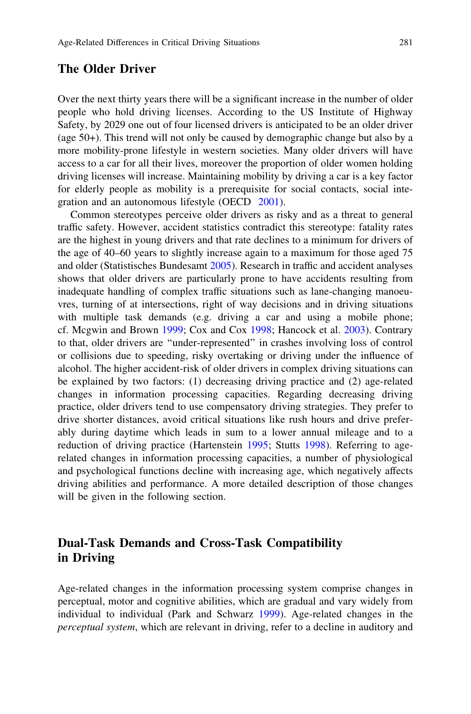### The Older Driver

Over the next thirty years there will be a significant increase in the number of older people who hold driving licenses. According to the US Institute of Highway Safety, by 2029 one out of four licensed drivers is anticipated to be an older driver (age 50+). This trend will not only be caused by demographic change but also by a more mobility-prone lifestyle in western societies. Many older drivers will have access to a car for all their lives, moreover the proportion of older women holding driving licenses will increase. Maintaining mobility by driving a car is a key factor for elderly people as mobility is a prerequisite for social contacts, social integration and an autonomous lifestyle (OECD [2001](#page-17-0)).

Common stereotypes perceive older drivers as risky and as a threat to general traffic safety. However, accident statistics contradict this stereotype: fatality rates are the highest in young drivers and that rate declines to a minimum for drivers of the age of 40–60 years to slightly increase again to a maximum for those aged 75 and older (Statistisches Bundesamt [2005](#page-18-0)). Research in traffic and accident analyses shows that older drivers are particularly prone to have accidents resulting from inadequate handling of complex traffic situations such as lane-changing manoeuvres, turning of at intersections, right of way decisions and in driving situations with multiple task demands (e.g. driving a car and using a mobile phone; cf. Mcgwin and Brown [1999](#page-17-0); Cox and Cox [1998;](#page-17-0) Hancock et al. [2003](#page-17-0)). Contrary to that, older drivers are ''under-represented'' in crashes involving loss of control or collisions due to speeding, risky overtaking or driving under the influence of alcohol. The higher accident-risk of older drivers in complex driving situations can be explained by two factors: (1) decreasing driving practice and (2) age-related changes in information processing capacities. Regarding decreasing driving practice, older drivers tend to use compensatory driving strategies. They prefer to drive shorter distances, avoid critical situations like rush hours and drive preferably during daytime which leads in sum to a lower annual mileage and to a reduction of driving practice (Hartenstein [1995](#page-17-0); Stutts [1998](#page-18-0)). Referring to agerelated changes in information processing capacities, a number of physiological and psychological functions decline with increasing age, which negatively affects driving abilities and performance. A more detailed description of those changes will be given in the following section.

# Dual-Task Demands and Cross-Task Compatibility in Driving

Age-related changes in the information processing system comprise changes in perceptual, motor and cognitive abilities, which are gradual and vary widely from individual to individual (Park and Schwarz [1999](#page-17-0)). Age-related changes in the perceptual system, which are relevant in driving, refer to a decline in auditory and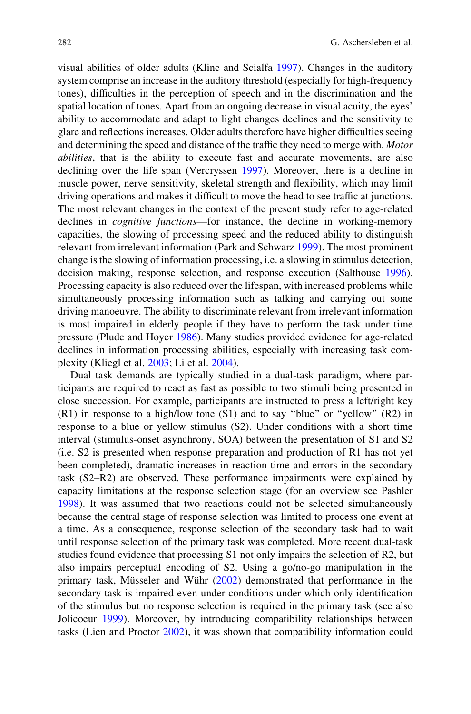visual abilities of older adults (Kline and Scialfa [1997\)](#page-17-0). Changes in the auditory system comprise an increase in the auditory threshold (especially for high-frequency tones), difficulties in the perception of speech and in the discrimination and the spatial location of tones. Apart from an ongoing decrease in visual acuity, the eyes' ability to accommodate and adapt to light changes declines and the sensitivity to glare and reflections increases. Older adults therefore have higher difficulties seeing and determining the speed and distance of the traffic they need to merge with. Motor abilities, that is the ability to execute fast and accurate movements, are also declining over the life span (Vercryssen [1997](#page-18-0)). Moreover, there is a decline in muscle power, nerve sensitivity, skeletal strength and flexibility, which may limit driving operations and makes it difficult to move the head to see traffic at junctions. The most relevant changes in the context of the present study refer to age-related declines in cognitive functions—for instance, the decline in working-memory capacities, the slowing of processing speed and the reduced ability to distinguish relevant from irrelevant information (Park and Schwarz [1999](#page-17-0)). The most prominent change is the slowing of information processing, i.e. a slowing in stimulus detection, decision making, response selection, and response execution (Salthouse [1996\)](#page-18-0). Processing capacity is also reduced over the lifespan, with increased problems while simultaneously processing information such as talking and carrying out some driving manoeuvre. The ability to discriminate relevant from irrelevant information is most impaired in elderly people if they have to perform the task under time pressure (Plude and Hoyer [1986](#page-18-0)). Many studies provided evidence for age-related declines in information processing abilities, especially with increasing task complexity (Kliegl et al. [2003;](#page-17-0) Li et al. [2004](#page-17-0)).

Dual task demands are typically studied in a dual-task paradigm, where participants are required to react as fast as possible to two stimuli being presented in close succession. For example, participants are instructed to press a left/right key (R1) in response to a high/low tone (S1) and to say ''blue'' or ''yellow'' (R2) in response to a blue or yellow stimulus (S2). Under conditions with a short time interval (stimulus-onset asynchrony, SOA) between the presentation of S1 and S2 (i.e. S2 is presented when response preparation and production of R1 has not yet been completed), dramatic increases in reaction time and errors in the secondary task (S2–R2) are observed. These performance impairments were explained by capacity limitations at the response selection stage (for an overview see Pashler [1998\)](#page-17-0). It was assumed that two reactions could not be selected simultaneously because the central stage of response selection was limited to process one event at a time. As a consequence, response selection of the secondary task had to wait until response selection of the primary task was completed. More recent dual-task studies found evidence that processing S1 not only impairs the selection of R2, but also impairs perceptual encoding of S2. Using a go/no-go manipulation in the primary task, Müsseler and Wühr ([2002\)](#page-17-0) demonstrated that performance in the secondary task is impaired even under conditions under which only identification of the stimulus but no response selection is required in the primary task (see also Jolicoeur [1999](#page-17-0)). Moreover, by introducing compatibility relationships between tasks (Lien and Proctor [2002](#page-17-0)), it was shown that compatibility information could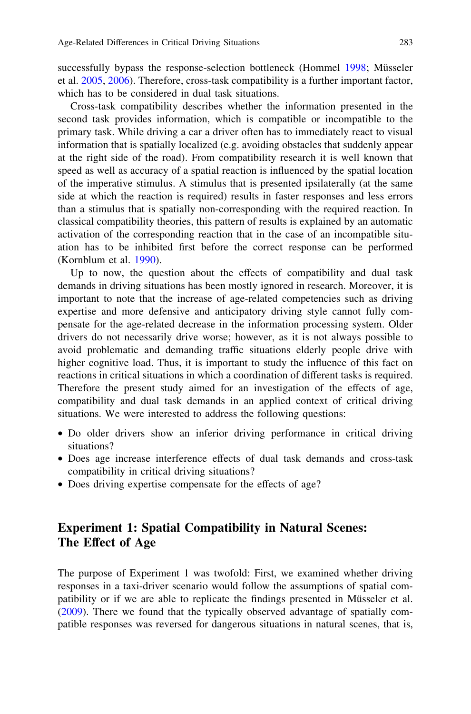successfully bypass the response-selection bottleneck (Hommel [1998;](#page-17-0) Müsseler et al. [2005,](#page-17-0) [2006\)](#page-17-0). Therefore, cross-task compatibility is a further important factor, which has to be considered in dual task situations.

Cross-task compatibility describes whether the information presented in the second task provides information, which is compatible or incompatible to the primary task. While driving a car a driver often has to immediately react to visual information that is spatially localized (e.g. avoiding obstacles that suddenly appear at the right side of the road). From compatibility research it is well known that speed as well as accuracy of a spatial reaction is influenced by the spatial location of the imperative stimulus. A stimulus that is presented ipsilaterally (at the same side at which the reaction is required) results in faster responses and less errors than a stimulus that is spatially non-corresponding with the required reaction. In classical compatibility theories, this pattern of results is explained by an automatic activation of the corresponding reaction that in the case of an incompatible situation has to be inhibited first before the correct response can be performed (Kornblum et al. [1990](#page-17-0)).

Up to now, the question about the effects of compatibility and dual task demands in driving situations has been mostly ignored in research. Moreover, it is important to note that the increase of age-related competencies such as driving expertise and more defensive and anticipatory driving style cannot fully compensate for the age-related decrease in the information processing system. Older drivers do not necessarily drive worse; however, as it is not always possible to avoid problematic and demanding traffic situations elderly people drive with higher cognitive load. Thus, it is important to study the influence of this fact on reactions in critical situations in which a coordination of different tasks is required. Therefore the present study aimed for an investigation of the effects of age, compatibility and dual task demands in an applied context of critical driving situations. We were interested to address the following questions:

- Do older drivers show an inferior driving performance in critical driving situations?
- Does age increase interference effects of dual task demands and cross-task compatibility in critical driving situations?
- Does driving expertise compensate for the effects of age?

# Experiment 1: Spatial Compatibility in Natural Scenes: The Effect of Age

The purpose of Experiment 1 was twofold: First, we examined whether driving responses in a taxi-driver scenario would follow the assumptions of spatial compatibility or if we are able to replicate the findings presented in Müsseler et al. [\(2009](#page-17-0)). There we found that the typically observed advantage of spatially compatible responses was reversed for dangerous situations in natural scenes, that is,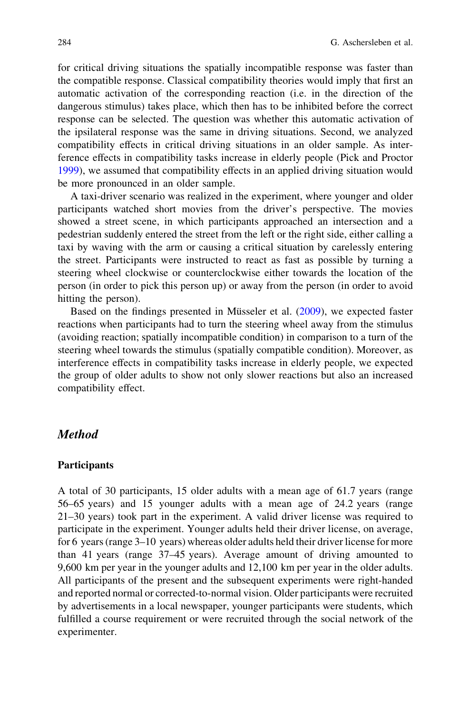for critical driving situations the spatially incompatible response was faster than the compatible response. Classical compatibility theories would imply that first an automatic activation of the corresponding reaction (i.e. in the direction of the dangerous stimulus) takes place, which then has to be inhibited before the correct response can be selected. The question was whether this automatic activation of the ipsilateral response was the same in driving situations. Second, we analyzed compatibility effects in critical driving situations in an older sample. As interference effects in compatibility tasks increase in elderly people (Pick and Proctor [1999\)](#page-18-0), we assumed that compatibility effects in an applied driving situation would be more pronounced in an older sample.

A taxi-driver scenario was realized in the experiment, where younger and older participants watched short movies from the driver's perspective. The movies showed a street scene, in which participants approached an intersection and a pedestrian suddenly entered the street from the left or the right side, either calling a taxi by waving with the arm or causing a critical situation by carelessly entering the street. Participants were instructed to react as fast as possible by turning a steering wheel clockwise or counterclockwise either towards the location of the person (in order to pick this person up) or away from the person (in order to avoid hitting the person).

Based on the findings presented in Müsseler et al. ([2009\)](#page-17-0), we expected faster reactions when participants had to turn the steering wheel away from the stimulus (avoiding reaction; spatially incompatible condition) in comparison to a turn of the steering wheel towards the stimulus (spatially compatible condition). Moreover, as interference effects in compatibility tasks increase in elderly people, we expected the group of older adults to show not only slower reactions but also an increased compatibility effect.

# **Method**

#### Participants

A total of 30 participants, 15 older adults with a mean age of 61.7 years (range 56–65 years) and 15 younger adults with a mean age of 24.2 years (range 21–30 years) took part in the experiment. A valid driver license was required to participate in the experiment. Younger adults held their driver license, on average, for 6 years (range 3–10 years) whereas older adults held their driver license for more than 41 years (range 37–45 years). Average amount of driving amounted to 9,600 km per year in the younger adults and 12,100 km per year in the older adults. All participants of the present and the subsequent experiments were right-handed and reported normal or corrected-to-normal vision. Older participants were recruited by advertisements in a local newspaper, younger participants were students, which fulfilled a course requirement or were recruited through the social network of the experimenter.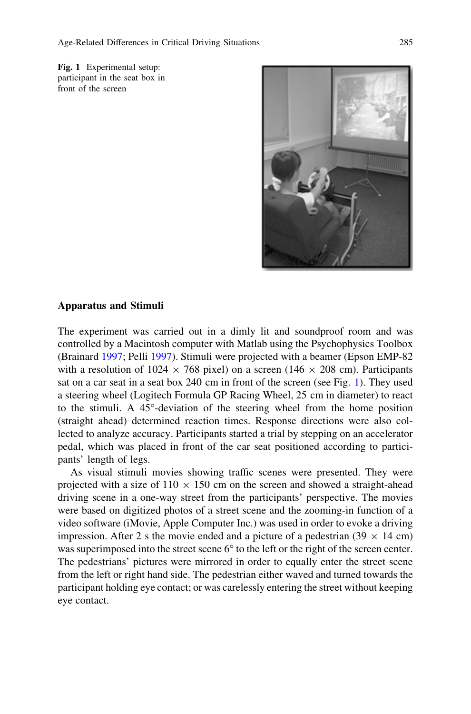Fig. 1 Experimental setup: participant in the seat box in front of the screen



#### Apparatus and Stimuli

The experiment was carried out in a dimly lit and soundproof room and was controlled by a Macintosh computer with Matlab using the Psychophysics Toolbox (Brainard [1997;](#page-17-0) Pelli [1997](#page-17-0)). Stimuli were projected with a beamer (Epson EMP-82 with a resolution of  $1024 \times 768$  pixel) on a screen (146  $\times$  208 cm). Participants sat on a car seat in a seat box 240 cm in front of the screen (see Fig. 1). They used a steering wheel (Logitech Formula GP Racing Wheel, 25 cm in diameter) to react to the stimuli. A 45-deviation of the steering wheel from the home position (straight ahead) determined reaction times. Response directions were also collected to analyze accuracy. Participants started a trial by stepping on an accelerator pedal, which was placed in front of the car seat positioned according to participants' length of legs.

As visual stimuli movies showing traffic scenes were presented. They were projected with a size of  $110 \times 150$  cm on the screen and showed a straight-ahead driving scene in a one-way street from the participants' perspective. The movies were based on digitized photos of a street scene and the zooming-in function of a video software (iMovie, Apple Computer Inc.) was used in order to evoke a driving impression. After 2 s the movie ended and a picture of a pedestrian (39  $\times$  14 cm) was superimposed into the street scene  $6^{\circ}$  to the left or the right of the screen center. The pedestrians' pictures were mirrored in order to equally enter the street scene from the left or right hand side. The pedestrian either waved and turned towards the participant holding eye contact; or was carelessly entering the street without keeping eye contact.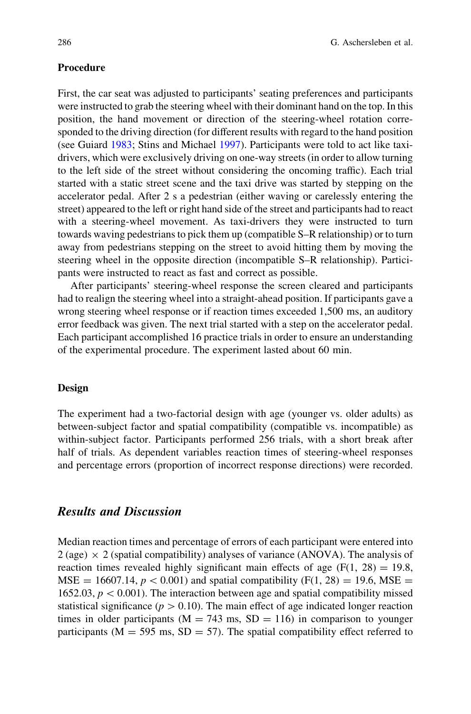#### Procedure

First, the car seat was adjusted to participants' seating preferences and participants were instructed to grab the steering wheel with their dominant hand on the top. In this position, the hand movement or direction of the steering-wheel rotation corresponded to the driving direction (for different results with regard to the hand position (see Guiard [1983](#page-17-0); Stins and Michael [1997\)](#page-18-0). Participants were told to act like taxidrivers, which were exclusively driving on one-way streets (in order to allow turning to the left side of the street without considering the oncoming traffic). Each trial started with a static street scene and the taxi drive was started by stepping on the accelerator pedal. After 2 s a pedestrian (either waving or carelessly entering the street) appeared to the left or right hand side of the street and participants had to react with a steering-wheel movement. As taxi-drivers they were instructed to turn towards waving pedestrians to pick them up (compatible S–R relationship) or to turn away from pedestrians stepping on the street to avoid hitting them by moving the steering wheel in the opposite direction (incompatible S–R relationship). Participants were instructed to react as fast and correct as possible.

After participants' steering-wheel response the screen cleared and participants had to realign the steering wheel into a straight-ahead position. If participants gave a wrong steering wheel response or if reaction times exceeded 1,500 ms, an auditory error feedback was given. The next trial started with a step on the accelerator pedal. Each participant accomplished 16 practice trials in order to ensure an understanding of the experimental procedure. The experiment lasted about 60 min.

#### Design

The experiment had a two-factorial design with age (younger vs. older adults) as between-subject factor and spatial compatibility (compatible vs. incompatible) as within-subject factor. Participants performed 256 trials, with a short break after half of trials. As dependent variables reaction times of steering-wheel responses and percentage errors (proportion of incorrect response directions) were recorded.

## Results and Discussion

Median reaction times and percentage of errors of each participant were entered into  $2 \text{ (age)} \times 2 \text{ (spatial compatibility)}$  analyses of variance (ANOVA). The analysis of reaction times revealed highly significant main effects of age  $(F(1, 28) = 19.8$ , MSE = 16607.14,  $p < 0.001$ ) and spatial compatibility (F(1, 28) = 19.6, MSE = 1652.03,  $p < 0.001$ ). The interaction between age and spatial compatibility missed statistical significance ( $p > 0.10$ ). The main effect of age indicated longer reaction times in older participants ( $M = 743$  ms,  $SD = 116$ ) in comparison to younger participants ( $M = 595$  ms,  $SD = 57$ ). The spatial compatibility effect referred to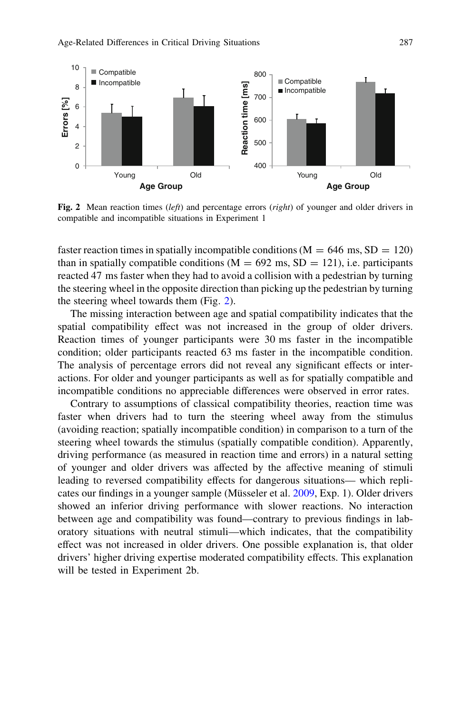

Fig. 2 Mean reaction times (left) and percentage errors (right) of younger and older drivers in compatible and incompatible situations in Experiment 1

faster reaction times in spatially incompatible conditions ( $M = 646$  ms,  $SD = 120$ ) than in spatially compatible conditions ( $M = 692$  ms,  $SD = 121$ ), i.e. participants reacted 47 ms faster when they had to avoid a collision with a pedestrian by turning the steering wheel in the opposite direction than picking up the pedestrian by turning the steering wheel towards them (Fig. 2).

The missing interaction between age and spatial compatibility indicates that the spatial compatibility effect was not increased in the group of older drivers. Reaction times of younger participants were 30 ms faster in the incompatible condition; older participants reacted 63 ms faster in the incompatible condition. The analysis of percentage errors did not reveal any significant effects or interactions. For older and younger participants as well as for spatially compatible and incompatible conditions no appreciable differences were observed in error rates.

Contrary to assumptions of classical compatibility theories, reaction time was faster when drivers had to turn the steering wheel away from the stimulus (avoiding reaction; spatially incompatible condition) in comparison to a turn of the steering wheel towards the stimulus (spatially compatible condition). Apparently, driving performance (as measured in reaction time and errors) in a natural setting of younger and older drivers was affected by the affective meaning of stimuli leading to reversed compatibility effects for dangerous situations— which replicates our findings in a younger sample (Müsseler et al. [2009,](#page-17-0) Exp. 1). Older drivers showed an inferior driving performance with slower reactions. No interaction between age and compatibility was found—contrary to previous findings in laboratory situations with neutral stimuli—which indicates, that the compatibility effect was not increased in older drivers. One possible explanation is, that older drivers' higher driving expertise moderated compatibility effects. This explanation will be tested in Experiment 2b.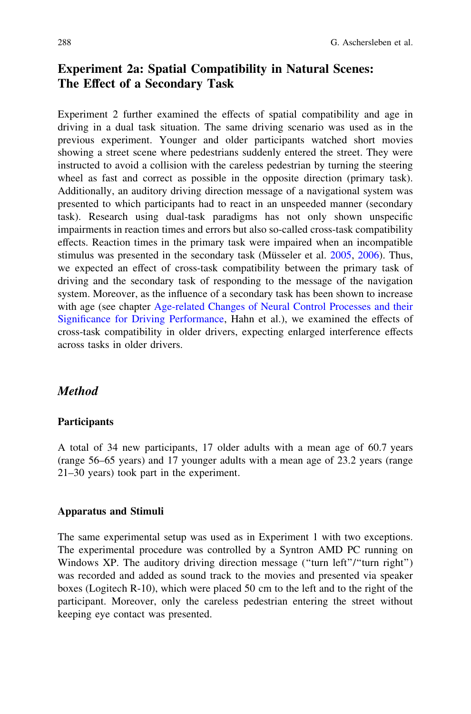# Experiment 2a: Spatial Compatibility in Natural Scenes: The Effect of a Secondary Task

Experiment 2 further examined the effects of spatial compatibility and age in driving in a dual task situation. The same driving scenario was used as in the previous experiment. Younger and older participants watched short movies showing a street scene where pedestrians suddenly entered the street. They were instructed to avoid a collision with the careless pedestrian by turning the steering wheel as fast and correct as possible in the opposite direction (primary task). Additionally, an auditory driving direction message of a navigational system was presented to which participants had to react in an unspeeded manner (secondary task). Research using dual-task paradigms has not only shown unspecific impairments in reaction times and errors but also so-called cross-task compatibility effects. Reaction times in the primary task were impaired when an incompatible stimulus was presented in the secondary task (Müsseler et al. [2005](#page-17-0), [2006\)](#page-17-0). Thus, we expected an effect of cross-task compatibility between the primary task of driving and the secondary task of responding to the message of the navigation system. Moreover, as the influence of a secondary task has been shown to increase with age (see chapter [Age-related Changes of Neural Control Processes and their](http://dx.doi.org/10.1007/978-3-642-35057-3_13) [Significance for Driving Performance](http://dx.doi.org/10.1007/978-3-642-35057-3_13), Hahn et al.), we examined the effects of cross-task compatibility in older drivers, expecting enlarged interference effects across tasks in older drivers.

# **Method**

#### Participants

A total of 34 new participants, 17 older adults with a mean age of 60.7 years (range 56–65 years) and 17 younger adults with a mean age of 23.2 years (range 21–30 years) took part in the experiment.

#### Apparatus and Stimuli

The same experimental setup was used as in Experiment 1 with two exceptions. The experimental procedure was controlled by a Syntron AMD PC running on Windows XP. The auditory driving direction message ("turn left"/"turn right") was recorded and added as sound track to the movies and presented via speaker boxes (Logitech R-10), which were placed 50 cm to the left and to the right of the participant. Moreover, only the careless pedestrian entering the street without keeping eye contact was presented.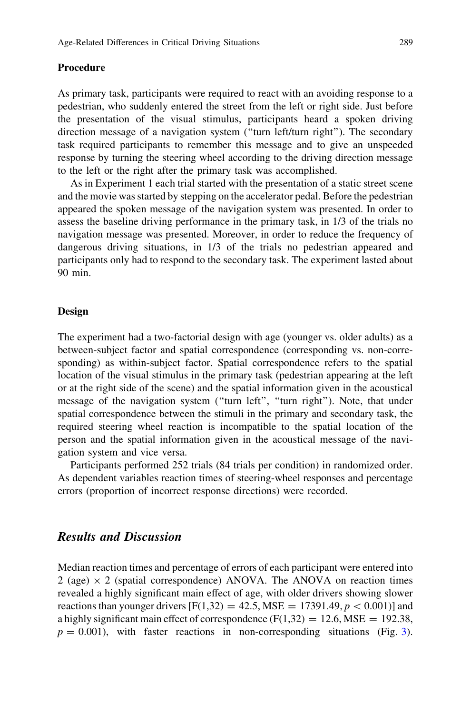#### Procedure

As primary task, participants were required to react with an avoiding response to a pedestrian, who suddenly entered the street from the left or right side. Just before the presentation of the visual stimulus, participants heard a spoken driving direction message of a navigation system (''turn left/turn right''). The secondary task required participants to remember this message and to give an unspeeded response by turning the steering wheel according to the driving direction message to the left or the right after the primary task was accomplished.

As in Experiment 1 each trial started with the presentation of a static street scene and the movie was started by stepping on the accelerator pedal. Before the pedestrian appeared the spoken message of the navigation system was presented. In order to assess the baseline driving performance in the primary task, in 1/3 of the trials no navigation message was presented. Moreover, in order to reduce the frequency of dangerous driving situations, in 1/3 of the trials no pedestrian appeared and participants only had to respond to the secondary task. The experiment lasted about 90 min.

#### Design

The experiment had a two-factorial design with age (younger vs. older adults) as a between-subject factor and spatial correspondence (corresponding vs. non-corresponding) as within-subject factor. Spatial correspondence refers to the spatial location of the visual stimulus in the primary task (pedestrian appearing at the left or at the right side of the scene) and the spatial information given in the acoustical message of the navigation system (''turn left'', ''turn right''). Note, that under spatial correspondence between the stimuli in the primary and secondary task, the required steering wheel reaction is incompatible to the spatial location of the person and the spatial information given in the acoustical message of the navigation system and vice versa.

Participants performed 252 trials (84 trials per condition) in randomized order. As dependent variables reaction times of steering-wheel responses and percentage errors (proportion of incorrect response directions) were recorded.

### Results and Discussion

Median reaction times and percentage of errors of each participant were entered into 2 (age)  $\times$  2 (spatial correspondence) ANOVA. The ANOVA on reaction times revealed a highly significant main effect of age, with older drivers showing slower reactions than younger drivers  $[F(1,32) = 42.5, MSE = 17391.49, p < 0.001]$  and a highly significant main effect of correspondence  $(F(1,32) = 12.6, MSE = 192.38,$  $p = 0.001$ , with faster reactions in non-corresponding situations (Fig. [3\)](#page-11-0).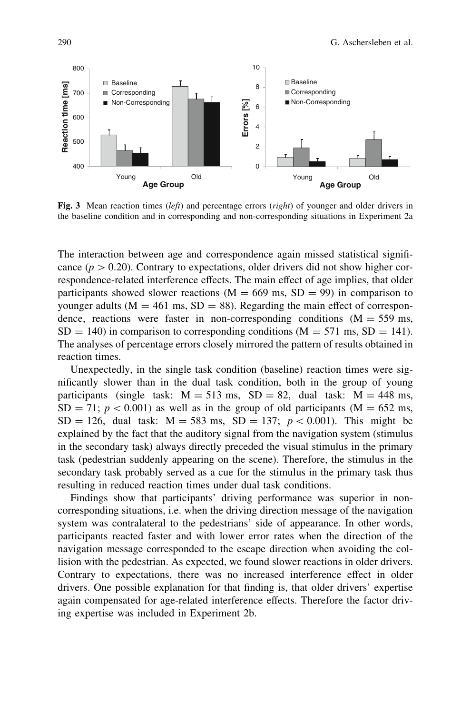<span id="page-11-0"></span>

Fig. 3 Mean reaction times (left) and percentage errors (right) of younger and older drivers in the baseline condition and in corresponding and non-corresponding situations in Experiment 2a

The interaction between age and correspondence again missed statistical significance ( $p > 0.20$ ). Contrary to expectations, older drivers did not show higher correspondence-related interference effects. The main effect of age implies, that older participants showed slower reactions ( $M = 669$  ms,  $SD = 99$ ) in comparison to younger adults ( $M = 461$  ms,  $SD = 88$ ). Regarding the main effect of correspondence, reactions were faster in non-corresponding conditions  $(M = 559 \text{ ms})$ ,  $SD = 140$ ) in comparison to corresponding conditions (M = 571 ms, SD = 141). The analyses of percentage errors closely mirrored the pattern of results obtained in reaction times.

Unexpectedly, in the single task condition (baseline) reaction times were significantly slower than in the dual task condition, both in the group of young participants (single task:  $M = 513$  ms,  $SD = 82$ , dual task:  $M = 448$  ms,  $SD = 71$ ;  $p < 0.001$ ) as well as in the group of old participants (M = 652 ms,  $SD = 126$ , dual task:  $M = 583$  ms,  $SD = 137$ ;  $p < 0.001$ ). This might be explained by the fact that the auditory signal from the navigation system (stimulus in the secondary task) always directly preceded the visual stimulus in the primary task (pedestrian suddenly appearing on the scene). Therefore, the stimulus in the secondary task probably served as a cue for the stimulus in the primary task thus resulting in reduced reaction times under dual task conditions.

Findings show that participants' driving performance was superior in noncorresponding situations, i.e. when the driving direction message of the navigation system was contralateral to the pedestrians' side of appearance. In other words, participants reacted faster and with lower error rates when the direction of the navigation message corresponded to the escape direction when avoiding the collision with the pedestrian. As expected, we found slower reactions in older drivers. Contrary to expectations, there was no increased interference effect in older drivers. One possible explanation for that finding is, that older drivers' expertise again compensated for age-related interference effects. Therefore the factor driving expertise was included in Experiment 2b.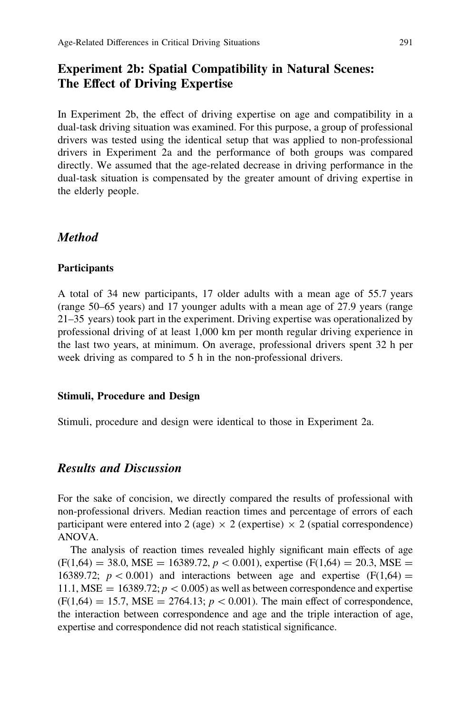# Experiment 2b: Spatial Compatibility in Natural Scenes: The Effect of Driving Expertise

In Experiment 2b, the effect of driving expertise on age and compatibility in a dual-task driving situation was examined. For this purpose, a group of professional drivers was tested using the identical setup that was applied to non-professional drivers in Experiment 2a and the performance of both groups was compared directly. We assumed that the age-related decrease in driving performance in the dual-task situation is compensated by the greater amount of driving expertise in the elderly people.

# Method

#### Participants

A total of 34 new participants, 17 older adults with a mean age of 55.7 years (range 50–65 years) and 17 younger adults with a mean age of 27.9 years (range 21–35 years) took part in the experiment. Driving expertise was operationalized by professional driving of at least 1,000 km per month regular driving experience in the last two years, at minimum. On average, professional drivers spent 32 h per week driving as compared to 5 h in the non-professional drivers.

#### Stimuli, Procedure and Design

Stimuli, procedure and design were identical to those in Experiment 2a.

# Results and Discussion

For the sake of concision, we directly compared the results of professional with non-professional drivers. Median reaction times and percentage of errors of each participant were entered into 2 (age)  $\times$  2 (expertise)  $\times$  2 (spatial correspondence) ANOVA.

The analysis of reaction times revealed highly significant main effects of age  $(F(1,64) = 38.0, MSE = 16389.72, p < 0.001)$ , expertise  $(F(1,64) = 20.3, MSE =$ 16389.72;  $p < 0.001$  and interactions between age and expertise (F(1,64) = 11.1, MSE =  $16389.72$ ;  $p < 0.005$ ) as well as between correspondence and expertise  $(F(1,64) = 15.7, MSE = 2764.13; p < 0.001)$ . The main effect of correspondence, the interaction between correspondence and age and the triple interaction of age, expertise and correspondence did not reach statistical significance.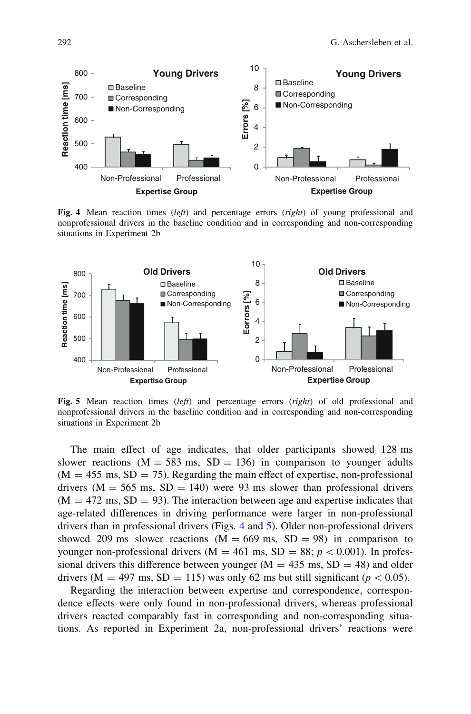<span id="page-13-0"></span>

Fig. 4 Mean reaction times (left) and percentage errors (right) of young professional and nonprofessional drivers in the baseline condition and in corresponding and non-corresponding situations in Experiment 2b



Fig. 5 Mean reaction times  $(left)$  and percentage errors  $(right)$  of old professional and nonprofessional drivers in the baseline condition and in corresponding and non-corresponding situations in Experiment 2b

The main effect of age indicates, that older participants showed 128 ms slower reactions  $(M = 583 \text{ ms}, SD = 136)$  in comparison to younger adults  $(M = 455 \text{ ms}, SD = 75)$ . Regarding the main effect of expertise, non-professional drivers ( $M = 565$  ms,  $SD = 140$ ) were 93 ms slower than professional drivers  $(M = 472 \text{ ms}, SD = 93)$ . The interaction between age and expertise indicates that age-related differences in driving performance were larger in non-professional drivers than in professional drivers (Figs. 4 and 5). Older non-professional drivers showed 209 ms slower reactions  $(M = 669 \text{ ms}, SD = 98)$  in comparison to younger non-professional drivers ( $M = 461$  ms,  $SD = 88$ ;  $p < 0.001$ ). In professional drivers this difference between younger ( $M = 435$  ms,  $SD = 48$ ) and older drivers (M = 497 ms, SD = 115) was only 62 ms but still significant ( $p < 0.05$ ).

Regarding the interaction between expertise and correspondence, correspondence effects were only found in non-professional drivers, whereas professional drivers reacted comparably fast in corresponding and non-corresponding situations. As reported in Experiment 2a, non-professional drivers' reactions were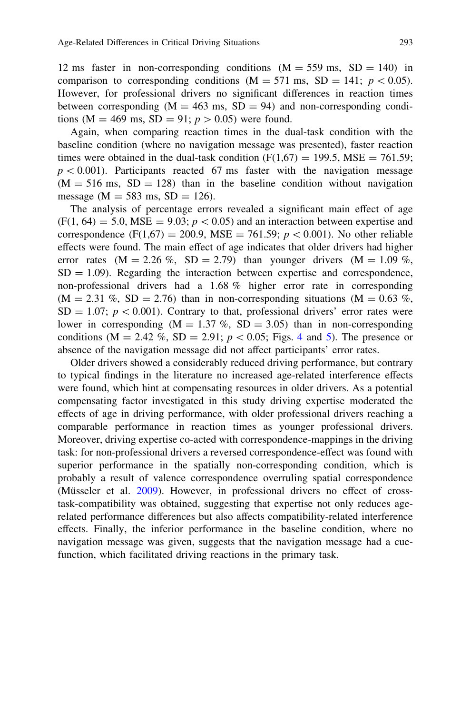12 ms faster in non-corresponding conditions  $(M = 559 \text{ ms}, SD = 140)$  in comparison to corresponding conditions ( $M = 571$  ms,  $SD = 141$ ;  $p < 0.05$ ). However, for professional drivers no significant differences in reaction times between corresponding  $(M = 463 \text{ ms}, SD = 94)$  and non-corresponding conditions (M = 469 ms, SD = 91;  $p > 0.05$ ) were found.

Again, when comparing reaction times in the dual-task condition with the baseline condition (where no navigation message was presented), faster reaction times were obtained in the dual-task condition  $(F(1,67) = 199.5, MSE = 761.59;$  $p<0.001$ ). Participants reacted 67 ms faster with the navigation message  $(M = 516 \text{ ms}, SD = 128)$  than in the baseline condition without navigation message ( $M = 583$  ms,  $SD = 126$ ).

The analysis of percentage errors revealed a significant main effect of age  $(F(1, 64) = 5.0, MSE = 9.03; p < 0.05)$  and an interaction between expertise and correspondence (F(1,67) = 200.9, MSE = 761.59;  $p < 0.001$ ). No other reliable effects were found. The main effect of age indicates that older drivers had higher error rates  $(M = 2.26\%$ ,  $SD = 2.79)$  than younger drivers  $(M = 1.09\%$ ,  $SD = 1.09$ . Regarding the interaction between expertise and correspondence, non-professional drivers had a 1.68 % higher error rate in corresponding  $(M = 2.31 \%)$ , SD = 2.76) than in non-corresponding situations  $(M = 0.63 \%)$ .  $SD = 1.07$ ;  $p < 0.001$ ). Contrary to that, professional drivers' error rates were lower in corresponding  $(M = 1.37 \%)$ , SD = 3.05) than in non-corresponding conditions (M = 2.[4](#page-13-0)2 %, SD = 2.91;  $p < 0.05$  $p < 0.05$ ; Figs. 4 and 5). The presence or absence of the navigation message did not affect participants' error rates.

Older drivers showed a considerably reduced driving performance, but contrary to typical findings in the literature no increased age-related interference effects were found, which hint at compensating resources in older drivers. As a potential compensating factor investigated in this study driving expertise moderated the effects of age in driving performance, with older professional drivers reaching a comparable performance in reaction times as younger professional drivers. Moreover, driving expertise co-acted with correspondence-mappings in the driving task: for non-professional drivers a reversed correspondence-effect was found with superior performance in the spatially non-corresponding condition, which is probably a result of valence correspondence overruling spatial correspondence (Müsseler et al. [2009](#page-17-0)). However, in professional drivers no effect of crosstask-compatibility was obtained, suggesting that expertise not only reduces agerelated performance differences but also affects compatibility-related interference effects. Finally, the inferior performance in the baseline condition, where no navigation message was given, suggests that the navigation message had a cuefunction, which facilitated driving reactions in the primary task.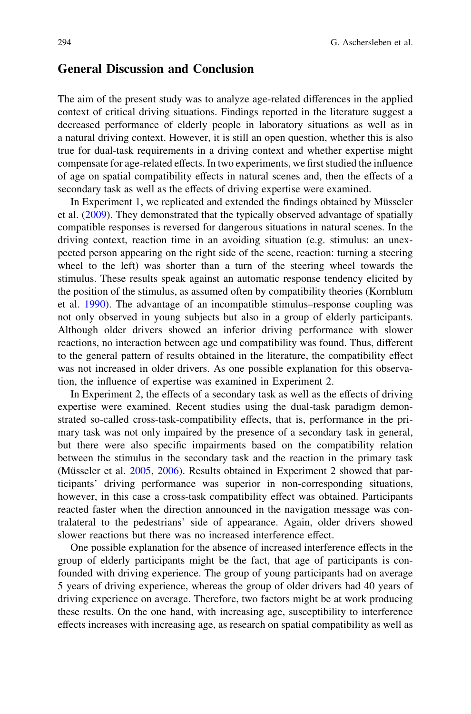### General Discussion and Conclusion

The aim of the present study was to analyze age-related differences in the applied context of critical driving situations. Findings reported in the literature suggest a decreased performance of elderly people in laboratory situations as well as in a natural driving context. However, it is still an open question, whether this is also true for dual-task requirements in a driving context and whether expertise might compensate for age-related effects. In two experiments, we first studied the influence of age on spatial compatibility effects in natural scenes and, then the effects of a secondary task as well as the effects of driving expertise were examined.

In Experiment 1, we replicated and extended the findings obtained by Müsseler et al. ([2009\)](#page-17-0). They demonstrated that the typically observed advantage of spatially compatible responses is reversed for dangerous situations in natural scenes. In the driving context, reaction time in an avoiding situation (e.g. stimulus: an unexpected person appearing on the right side of the scene, reaction: turning a steering wheel to the left) was shorter than a turn of the steering wheel towards the stimulus. These results speak against an automatic response tendency elicited by the position of the stimulus, as assumed often by compatibility theories (Kornblum et al. [1990](#page-17-0)). The advantage of an incompatible stimulus–response coupling was not only observed in young subjects but also in a group of elderly participants. Although older drivers showed an inferior driving performance with slower reactions, no interaction between age und compatibility was found. Thus, different to the general pattern of results obtained in the literature, the compatibility effect was not increased in older drivers. As one possible explanation for this observation, the influence of expertise was examined in Experiment 2.

In Experiment 2, the effects of a secondary task as well as the effects of driving expertise were examined. Recent studies using the dual-task paradigm demonstrated so-called cross-task-compatibility effects, that is, performance in the primary task was not only impaired by the presence of a secondary task in general, but there were also specific impairments based on the compatibility relation between the stimulus in the secondary task and the reaction in the primary task (Müsseler et al. [2005](#page-17-0), [2006](#page-17-0)). Results obtained in Experiment 2 showed that participants' driving performance was superior in non-corresponding situations, however, in this case a cross-task compatibility effect was obtained. Participants reacted faster when the direction announced in the navigation message was contralateral to the pedestrians' side of appearance. Again, older drivers showed slower reactions but there was no increased interference effect.

One possible explanation for the absence of increased interference effects in the group of elderly participants might be the fact, that age of participants is confounded with driving experience. The group of young participants had on average 5 years of driving experience, whereas the group of older drivers had 40 years of driving experience on average. Therefore, two factors might be at work producing these results. On the one hand, with increasing age, susceptibility to interference effects increases with increasing age, as research on spatial compatibility as well as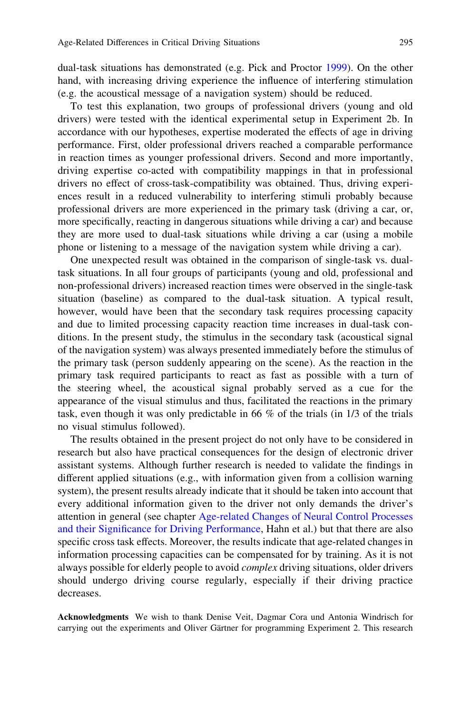dual-task situations has demonstrated (e.g. Pick and Proctor [1999\)](#page-18-0). On the other hand, with increasing driving experience the influence of interfering stimulation (e.g. the acoustical message of a navigation system) should be reduced.

To test this explanation, two groups of professional drivers (young and old drivers) were tested with the identical experimental setup in Experiment 2b. In accordance with our hypotheses, expertise moderated the effects of age in driving performance. First, older professional drivers reached a comparable performance in reaction times as younger professional drivers. Second and more importantly, driving expertise co-acted with compatibility mappings in that in professional drivers no effect of cross-task-compatibility was obtained. Thus, driving experiences result in a reduced vulnerability to interfering stimuli probably because professional drivers are more experienced in the primary task (driving a car, or, more specifically, reacting in dangerous situations while driving a car) and because they are more used to dual-task situations while driving a car (using a mobile phone or listening to a message of the navigation system while driving a car).

One unexpected result was obtained in the comparison of single-task vs. dualtask situations. In all four groups of participants (young and old, professional and non-professional drivers) increased reaction times were observed in the single-task situation (baseline) as compared to the dual-task situation. A typical result, however, would have been that the secondary task requires processing capacity and due to limited processing capacity reaction time increases in dual-task conditions. In the present study, the stimulus in the secondary task (acoustical signal of the navigation system) was always presented immediately before the stimulus of the primary task (person suddenly appearing on the scene). As the reaction in the primary task required participants to react as fast as possible with a turn of the steering wheel, the acoustical signal probably served as a cue for the appearance of the visual stimulus and thus, facilitated the reactions in the primary task, even though it was only predictable in 66 % of the trials (in 1/3 of the trials no visual stimulus followed).

The results obtained in the present project do not only have to be considered in research but also have practical consequences for the design of electronic driver assistant systems. Although further research is needed to validate the findings in different applied situations (e.g., with information given from a collision warning system), the present results already indicate that it should be taken into account that every additional information given to the driver not only demands the driver's attention in general (see chapter [Age-related Changes of Neural Control Processes](http://dx.doi.org/10.1007/978-3-642-35057-3_13) [and their Significance for Driving Performance](http://dx.doi.org/10.1007/978-3-642-35057-3_13), Hahn et al.) but that there are also specific cross task effects. Moreover, the results indicate that age-related changes in information processing capacities can be compensated for by training. As it is not always possible for elderly people to avoid *complex* driving situations, older drivers should undergo driving course regularly, especially if their driving practice decreases.

Acknowledgments We wish to thank Denise Veit, Dagmar Cora und Antonia Windrisch for carrying out the experiments and Oliver Gärtner for programming Experiment 2. This research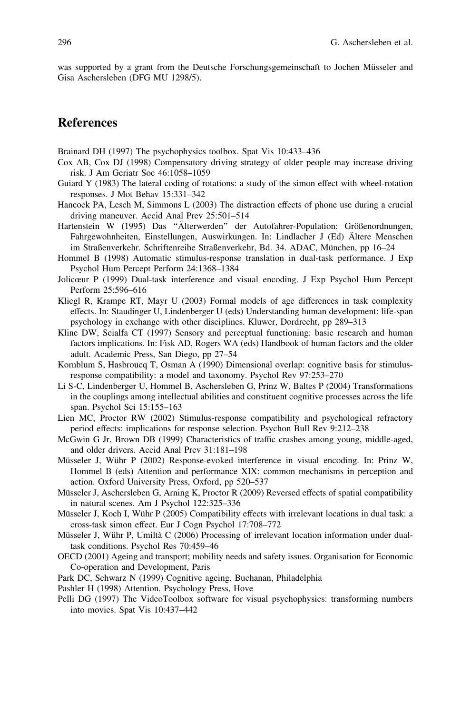<span id="page-17-0"></span>was supported by a grant from the Deutsche Forschungsgemeinschaft to Jochen Müsseler and Gisa Aschersleben (DFG MU 1298/5).

# References

Brainard DH (1997) The psychophysics toolbox. Spat Vis 10:433–436

- Cox AB, Cox DJ (1998) Compensatory driving strategy of older people may increase driving risk. J Am Geriatr Soc 46:1058–1059
- Guiard Y (1983) The lateral coding of rotations: a study of the simon effect with wheel-rotation responses. J Mot Behav 15:331–342
- Hancock PA, Lesch M, Simmons L (2003) The distraction effects of phone use during a crucial driving maneuver. Accid Anal Prev 25:501–514
- Hartenstein W (1995) Das ''Älterwerden'' der Autofahrer-Population: Größenordnungen, Fahrgewohnheiten, Einstellungen, Auswirkungen. In: Lindlacher J (Ed) Ältere Menschen im Straßenverkehr. Schriftenreihe Straßenverkehr, Bd. 34. ADAC, München, pp 16–24
- Hommel B (1998) Automatic stimulus-response translation in dual-task performance. J Exp Psychol Hum Percept Perform 24:1368–1384
- Jolicœur P (1999) Dual-task interference and visual encoding. J Exp Psychol Hum Percept Perform 25:596–616
- Kliegl R, Krampe RT, Mayr U (2003) Formal models of age differences in task complexity effects. In: Staudinger U, Lindenberger U (eds) Understanding human development: life-span psychology in exchange with other disciplines. Kluwer, Dordrecht, pp 289–313
- Kline DW, Scialfa CT (1997) Sensory and perceptual functioning: basic research and human factors implications. In: Fisk AD, Rogers WA (eds) Handbook of human factors and the older adult. Academic Press, San Diego, pp 27–54
- Kornblum S, Hasbroucq T, Osman A (1990) Dimensional overlap: cognitive basis for stimulusresponse compatibility: a model and taxonomy. Psychol Rev 97:253–270
- Li S-C, Lindenberger U, Hommel B, Aschersleben G, Prinz W, Baltes P (2004) Transformations in the couplings among intellectual abilities and constituent cognitive processes across the life span. Psychol Sci 15:155–163
- Lien MC, Proctor RW (2002) Stimulus-response compatibility and psychological refractory period effects: implications for response selection. Psychon Bull Rev 9:212–238
- McGwin G Jr, Brown DB (1999) Characteristics of traffic crashes among young, middle-aged, and older drivers. Accid Anal Prev 31:181–198
- Müsseler J, Wühr P (2002) Response-evoked interference in visual encoding. In: Prinz W, Hommel B (eds) Attention and performance XIX: common mechanisms in perception and action. Oxford University Press, Oxford, pp 520–537
- Müsseler J, Aschersleben G, Arning K, Proctor R (2009) Reversed effects of spatial compatibility in natural scenes. Am J Psychol 122:325–336
- Müsseler J, Koch I, Wühr P (2005) Compatibility effects with irrelevant locations in dual task: a cross-task simon effect. Eur J Cogn Psychol 17:708–772
- Müsseler J, Wühr P, Umiltà C (2006) Processing of irrelevant location information under dualtask conditions. Psychol Res 70:459–46
- OECD (2001) Ageing and transport; mobility needs and safety issues. Organisation for Economic Co-operation and Development, Paris
- Park DC, Schwarz N (1999) Cognitive ageing. Buchanan, Philadelphia

Pashler H (1998) Attention. Psychology Press, Hove

Pelli DG (1997) The VideoToolbox software for visual psychophysics: transforming numbers into movies. Spat Vis 10:437–442